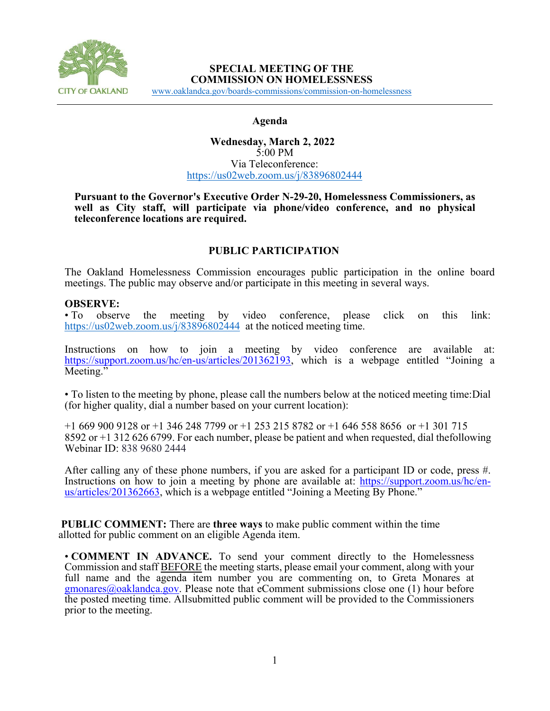

### **SPECIAL MEETING OF THE COMMISSION ON HOMELESSNESS**

[www.oaklandca.gov/boards-commissions/commission-on-homelessness](https://www.oaklandca.gov/boards-commissions/commission-on-homelessness/meetings)

#### **Agenda**

### **Wednesday, March 2, 2022**  5:00 PM Via Teleconference: <https://us02web.zoom.us/j/83896802444>

#### **Pursuant to the Governor's Executive Order N-29-20, Homelessness Commissioners, as well as City staff, will participate via phone/video conference, and no physical teleconference locations are required.**

## **PUBLIC PARTICIPATION**

The Oakland Homelessness Commission encourages public participation in the online board meetings. The public may observe and/or participate in this meeting in several ways.

### **OBSERVE:**

• To observe the meeting by video conference, please click on this link: <https://us02web.zoom.us/j/83896802444>at the noticed meeting time.

Instructions on how to join a meeting by video conference are available at: [https://support.zoom.us/hc/en-us/articles/201362193,](https://support.zoom.us/hc/en-us/articles/201362193) which is a webpage entitled "Joining a Meeting."

• To listen to the meeting by phone, please call the numbers below at the noticed meeting time:Dial (for higher quality, dial a number based on your current location):

+1 669 900 9128 or +1 346 248 7799 or +1 253 215 8782 or +1 646 558 8656 or +1 301 715 8592 or +1 312 626 6799. For each number, please be patient and when requested, dial thefollowing Webinar ID: 838 9680 2444

After calling any of these phone numbers, if you are asked for a participant ID or code, press #. Instructions on how to join a meeting by phone are available at: [https://support.zoom.us/hc/en-](https://support.zoom.us/hc/en-us/articles/201362663) [us/articles/201362663,](https://support.zoom.us/hc/en-us/articles/201362663) which is a webpage entitled "Joining a Meeting By Phone."

**PUBLIC COMMENT:** There are **three ways** to make public comment within the time allotted for public comment on an eligible Agenda item.

• **COMMENT IN ADVANCE.** To send your comment directly to the Homelessness Commission and staff BEFORE the meeting starts, please email your comment, along with your full name and the agenda item number you are commenting on, to Greta Monares at  $g$ monares $@o$ aklandca.gov. Please note that eComment submissions close one (1) hour before the posted meeting time. All submitted public comment will be provided to the Commissioners prior to the meeting.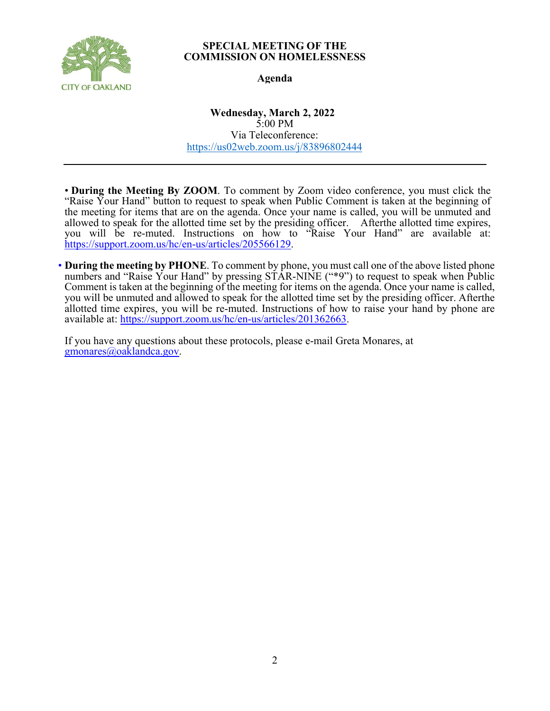

### **SPECIAL MEETING OF THE COMMISSION ON HOMELESSNESS**

## **Agenda**

**Wednesday, March 2, 2022**  5:00 PM Via Teleconference: <https://us02web.zoom.us/j/83896802444>

• **During the Meeting By ZOOM**. To comment by Zoom video conference, you must click the "Raise Your Hand" button to request to speak when Public Comment is taken at the beginning of the meeting for items that are on the agenda. Once your name is called, you will be unmuted and allowed to speak for the allotted time set by the presiding officer. Afterthe allotted time expires, you will be re-muted. Instructions on how to "Raise Your Hand" are available at: [https://support.zoom.us/hc/en-us/articles/205566129.](https://support.zoom.us/hc/en-us/articles/205566129)

• **During the meeting by PHONE**. To comment by phone, you must call one of the above listed phone numbers and "Raise Your Hand" by pressing STAR-NINE ("\*9") to request to speak when Public Comment is taken at the beginning of the meeting for items on the agenda. Once your name is called, you will be unmuted and allowed to speak for the allotted time set by the presiding officer. After the allotted time expires, you will be re-muted. Instructions of how to raise your hand by phone are available at: https://support.zoom.us/hc/en-us/articles/201362663.

If you have any questions about these protocols, please e-mail Greta Monares, at [gmonares@oaklandca.gov.](mailto:gmonares@oaklandca.gov)